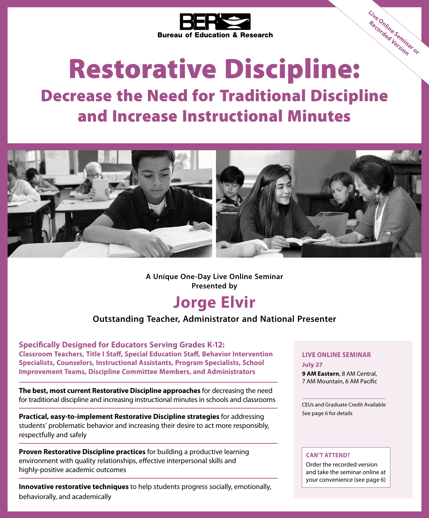

# Restorative Discipline:

# Decrease the Need for Traditional Discipline and Increase Instructional Minutes



**A Unique One-Day Live Online Seminar Presented by**

# **Jorge Elvir**

### **Outstanding Teacher, Administrator and National Presenter**

**Specifically Designed for Educators Serving Grades K-12: Classroom Teachers, Title I Staff, Special Education Staff, Behavior Intervention Specialists, Counselors, Instructional Assistants, Program Specialists, School Improvement Teams, Discipline Committee Members, and Administrators**

**The best, most current Restorative Discipline approaches** for decreasing the need for traditional discipline and increasing instructional minutes in schools and classrooms

**Practical, easy-to-implement Restorative Discipline strategies** for addressing students' problematic behavior and increasing their desire to act more responsibly, respectfully and safely

**Proven Restorative Discipline practices** for building a productive learning environment with quality relationships, effective interpersonal skills and highly-positive academic outcomes

**Innovative restorative techniques** to help students progress socially, emotionally, behaviorally, and academically

#### **LIVE ONLINE SEMINAR July 27**

**9 AM Eastern**, 8 AM Central, 7 AM Mountain, 6 AM Pacific

**Live Online Seminar or Recorded Version**

CEUs and Graduate Credit Available See page 6 for details

#### **CAN'T ATTEND?**

Order the recorded version and take the seminar online at your convenience (see page 6)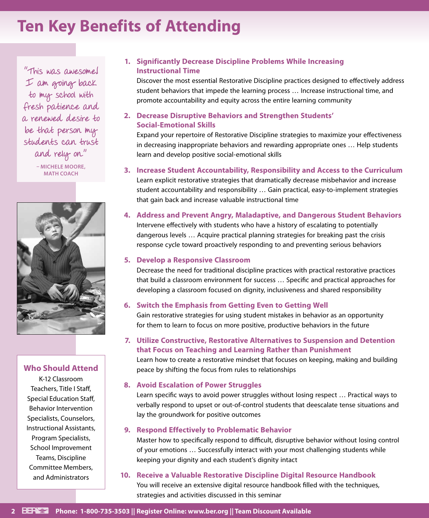# **Ten Key Benefits of Attending**

"This was awesome! I am going back to my school with fresh patience and a renewed desire to be that person my students can trust and rely on." **– MICHELE MOORE, MATH COACH**



### **Who Should Attend**

K-12 Classroom Teachers, Title I Staff, Special Education Staff, Behavior Intervention Specialists, Counselors, Instructional Assistants, Program Specialists, School Improvement Teams, Discipline Committee Members, and Administrators

### **1. Significantly Decrease Discipline Problems While Increasing Instructional Time**

Discover the most essential Restorative Discipline practices designed to effectively address student behaviors that impede the learning process … Increase instructional time, and promote accountability and equity across the entire learning community

### **2. Decrease Disruptive Behaviors and Strengthen Students' Social-Emotional Skills**

Expand your repertoire of Restorative Discipline strategies to maximize your effectiveness in decreasing inappropriate behaviors and rewarding appropriate ones … Help students learn and develop positive social-emotional skills

### **3. Increase Student Accountability, Responsibility and Access to the Curriculum**

Learn explicit restorative strategies that dramatically decrease misbehavior and increase student accountability and responsibility … Gain practical, easy-to-implement strategies that gain back and increase valuable instructional time

**4. Address and Prevent Angry, Maladaptive, and Dangerous Student Behaviors** Intervene effectively with students who have a history of escalating to potentially dangerous levels … Acquire practical planning strategies for breaking past the crisis response cycle toward proactively responding to and preventing serious behaviors

#### **5. Develop a Responsive Classroom**

Decrease the need for traditional discipline practices with practical restorative practices that build a classroom environment for success … Specific and practical approaches for developing a classroom focused on dignity, inclusiveness and shared responsibility

### **6. Switch the Emphasis from Getting Even to Getting Well**

Gain restorative strategies for using student mistakes in behavior as an opportunity for them to learn to focus on more positive, productive behaviors in the future

### **7. Utilize Constructive, Restorative Alternatives to Suspension and Detention that Focus on Teaching and Learning Rather than Punishment**

Learn how to create a restorative mindset that focuses on keeping, making and building peace by shifting the focus from rules to relationships

#### **8. Avoid Escalation of Power Struggles**

Learn specific ways to avoid power struggles without losing respect … Practical ways to verbally respond to upset or out-of-control students that deescalate tense situations and lay the groundwork for positive outcomes

#### **9. Respond Effectively to Problematic Behavior**

Master how to specifically respond to difficult, disruptive behavior without losing control of your emotions … Successfully interact with your most challenging students while keeping your dignity and each student's dignity intact

## **10. Receive a Valuable Restorative Discipline Digital Resource Handbook**

You will receive an extensive digital resource handbook filled with the techniques, strategies and activities discussed in this seminar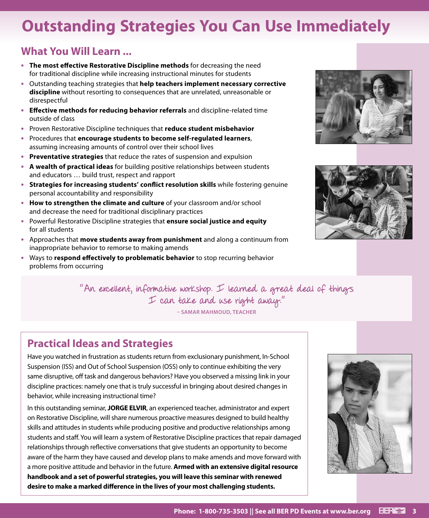# **Outstanding Strategies You Can Use Immediately**

### **What You Will Learn ...**

- **• The most effective Restorative Discipline methods** for decreasing the need for traditional discipline while increasing instructional minutes for students
- **•** Outstanding teaching strategies that **help teachers implement necessary corrective discipline** without resorting to consequences that are unrelated, unreasonable or disrespectful
- **• Effective methods for reducing behavior referrals** and discipline-related time outside of class
- **•** Proven Restorative Discipline techniques that **reduce student misbehavior**
- **•** Procedures that **encourage students to become self-regulated learners**, assuming increasing amounts of control over their school lives
- **• Preventative strategies** that reduce the rates of suspension and expulsion
- **• A wealth of practical ideas** for building positive relationships between students and educators … build trust, respect and rapport
- **• Strategies for increasing students' conflict resolution skills** while fostering genuine personal accountability and responsibility
- **• How to strengthen the climate and culture** of your classroom and/or school and decrease the need for traditional disciplinary practices
- **•** Powerful Restorative Discipline strategies that **ensure social justice and equity** for all students
- **•** Approaches that **move students away from punishment** and along a continuum from inappropriate behavior to remorse to making amends
- **•** Ways to **respond effectively to problematic behavior** to stop recurring behavior problems from occurring



### **Practical Ideas and Strategies**

Have you watched in frustration as students return from exclusionary punishment, In-School Suspension (ISS) and Out of School Suspension (OSS) only to continue exhibiting the very same disruptive, off task and dangerous behaviors? Have you observed a missing link in your discipline practices: namely one that is truly successful in bringing about desired changes in behavior, while increasing instructional time?

In this outstanding seminar, **JORGE ELVIR**, an experienced teacher, administrator and expert on Restorative Discipline, will share numerous proactive measures designed to build healthy skills and attitudes in students while producing positive and productive relationships among students and staff. You will learn a system of Restorative Discipline practices that repair damaged relationships through reflective conversations that give students an opportunity to become aware of the harm they have caused and develop plans to make amends and move forward with a more positive attitude and behavior in the future. **Armed with an extensive digital resource handbook and a set of powerful strategies, you will leave this seminar with renewed desire to make a marked difference in the lives of your most challenging students.**





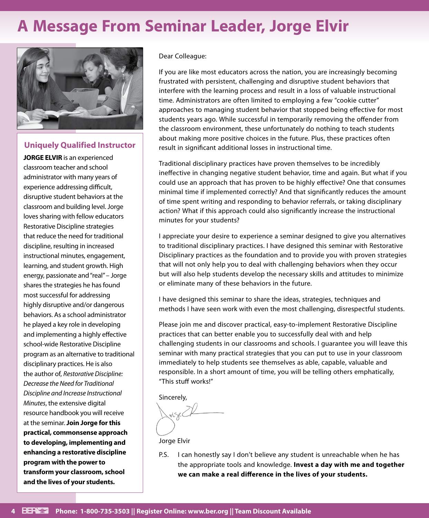# **A Message From Seminar Leader, Jorge Elvir**



### **Uniquely Qualified Instructor**

**JORGE ELVIR** is an experienced classroom teacher and school administrator with many years of experience addressing difficult, disruptive student behaviors at the classroom and building level. Jorge loves sharing with fellow educators Restorative Discipline strategies that reduce the need for traditional discipline, resulting in increased instructional minutes, engagement, learning, and student growth. High energy, passionate and "real" – Jorge shares the strategies he has found most successful for addressing highly disruptive and/or dangerous behaviors. As a school administrator he played a key role in developing and implementing a highly effective school-wide Restorative Discipline program as an alternative to traditional disciplinary practices. He is also the author of, *Restorative Discipline: Decrease the Need for Traditional Discipline and Increase Instructional Minutes*, the extensive digital resource handbook you will receive at the seminar. **Join Jorge for this practical, commonsense approach to developing, implementing and enhancing a restorative discipline program with the power to transform your classroom, school and the lives of your students.**

#### Dear Colleague:

If you are like most educators across the nation, you are increasingly becoming frustrated with persistent, challenging and disruptive student behaviors that interfere with the learning process and result in a loss of valuable instructional time. Administrators are often limited to employing a few "cookie cutter" approaches to managing student behavior that stopped being effective for most students years ago. While successful in temporarily removing the offender from the classroom environment, these unfortunately do nothing to teach students about making more positive choices in the future. Plus, these practices often result in significant additional losses in instructional time.

Traditional disciplinary practices have proven themselves to be incredibly ineffective in changing negative student behavior, time and again. But what if you could use an approach that has proven to be highly effective? One that consumes minimal time if implemented correctly? And that significantly reduces the amount of time spent writing and responding to behavior referrals, or taking disciplinary action? What if this approach could also significantly increase the instructional minutes for your students?

I appreciate your desire to experience a seminar designed to give you alternatives to traditional disciplinary practices. I have designed this seminar with Restorative Disciplinary practices as the foundation and to provide you with proven strategies that will not only help you to deal with challenging behaviors when they occur but will also help students develop the necessary skills and attitudes to minimize or eliminate many of these behaviors in the future.

I have designed this seminar to share the ideas, strategies, techniques and methods I have seen work with even the most challenging, disrespectful students.

Please join me and discover practical, easy-to-implement Restorative Discipline practices that can better enable you to successfully deal with and help challenging students in our classrooms and schools. I guarantee you will leave this seminar with many practical strategies that you can put to use in your classroom immediately to help students see themselves as able, capable, valuable and responsible. In a short amount of time, you will be telling others emphatically, "This stuff works!"

Sincerely,

Jorge Elvir

P.S. I can honestly say I don't believe any student is unreachable when he has the appropriate tools and knowledge. **Invest a day with me and together we can make a real difference in the lives of your students.**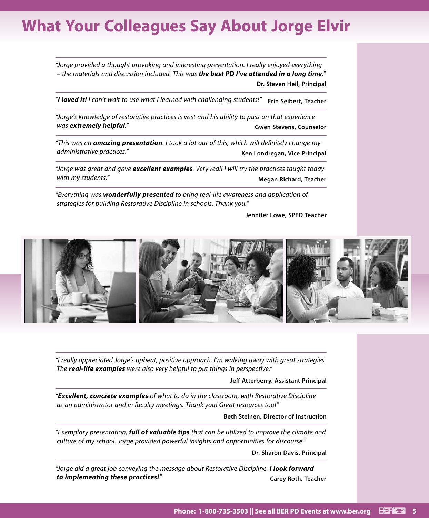# **What Your Colleagues Say About Jorge Elvir**

*"Jorge provided a thought provoking and interesting presentation. I really enjoyed everything – the materials and discussion included. This was the best PD I've attended in a long time."* **Dr. Steven Heil, Principal**

*"I loved it! I can't wait to use what I learned with challenging students!"* **Erin Seibert, Teacher**

*"Jorge's knowledge of restorative practices is vast and his ability to pass on that experience was* extremely helpful." **Gwen Stevens, Counselor Gwen Stevens, Counselor** 

*"This was an amazing presentation. I took a lot out of this, which will definitely change my administrative practices."* **Ken Londregan, Vice Principal**

*"Jorge was great and gave excellent examples. Very real! I will try the practices taught today*  with my students."

*"Everything was wonderfully presented to bring real-life awareness and application of strategies for building Restorative Discipline in schools. Thank you."*

**Jennifer Lowe, SPED Teacher**



*"I really appreciated Jorge's upbeat, positive approach. I'm walking away with great strategies. The real-life examples were also very helpful to put things in perspective."*

#### **Jeff Atterberry, Assistant Principal**

*"Excellent, concrete examples of what to do in the classroom, with Restorative Discipline as an administrator and in faculty meetings. Thank you! Great resources too!"*

#### **Beth Steinen, Director of Instruction**

*"Exemplary presentation, full of valuable tips that can be utilized to improve the climate and culture of my school. Jorge provided powerful insights and opportunities for discourse."*

**Dr. Sharon Davis, Principal**

*"Jorge did a great job conveying the message about Restorative Discipline. I look forward to implementing these practices!"* **Carey Roth, Teacher**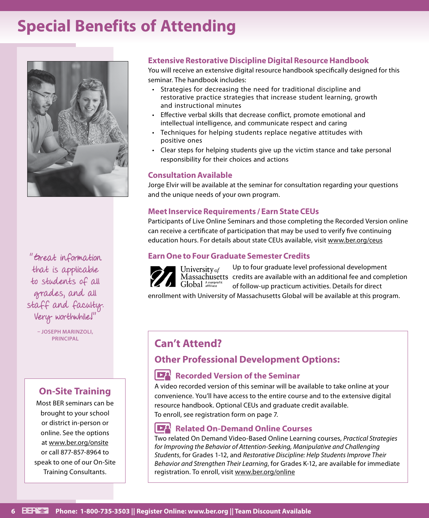# **Special Benefits of Attending**



"Great information that is applicable to students of all grades, and all staff and faculty. Very worthwhile!"

**– JOSEPH MARINZOLI,** 

### **On-Site Training**

Most BER seminars can be brought to your school or district in-person or online. See the options at www.ber.org/onsite or call 877-857-8964 to speak to one of our On-Site Training Consultants.

### **Extensive Restorative Discipline Digital Resource Handbook**

You will receive an extensive digital resource handbook specifically designed for this seminar. The handbook includes:

- Strategies for decreasing the need for traditional discipline and restorative practice strategies that increase student learning, growth and instructional minutes
- Effective verbal skills that decrease conflict, promote emotional and intellectual intelligence, and communicate respect and caring
- Techniques for helping students replace negative attitudes with positive ones
- Clear steps for helping students give up the victim stance and take personal responsibility for their choices and actions

### **Consultation Available**

Jorge Elvir will be available at the seminar for consultation regarding your questions and the unique needs of your own program.

### **Meet Inservice Requirements / Earn State CEUs**

Participants of Live Online Seminars and those completing the Recorded Version online can receive a certificate of participation that may be used to verify five continuing education hours. For details about state CEUs available, visit www.ber.org/ceus

### **Earn One to Four Graduate Semester Credits**

Up to four graduate level professional development University of Massachusetts credits are available with an additional fee and completion Global Anonprofit of follow-up practicum activities. Details for direct

enrollment with University of Massachusetts Global will be available at this program.

### **Can't Attend?**

### **Other Professional Development Options:**

### **Recorded Version of the Seminar**

A video recorded version of this seminar will be available to take online at your convenience. You'll have access to the entire course and to the extensive digital resource handbook. Optional CEUs and graduate credit available. To enroll, see registration form on page 7.

### **Related On-Demand Online Courses**

Two related On Demand Video-Based Online Learning courses, *Practical Strategies for Improving the Behavior of Attention-Seeking, Manipulative and Challenging Students*, for Grades 1-12, and *Restorative Discipline: Help Students Improve Their Behavior and Strengthen Their Learning*, for Grades K-12, are available for immediate registration. To enroll, visit www.ber.org/online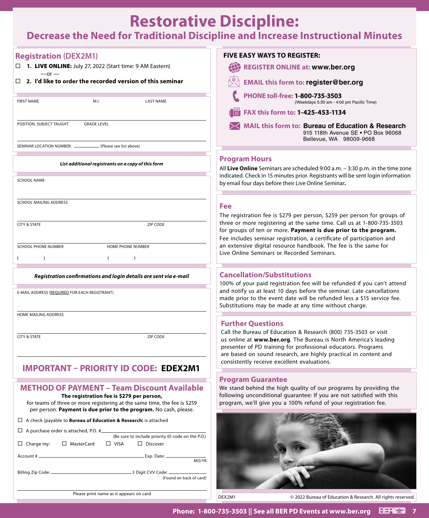### **Restorative Discipline: Decrease the Need for Traditional Discipline and Increase Instructional Minutes**

| <b>Registration (DEX2M1)</b>                                                                                                                   | <b>FIVE EASY WAYS TO REGISTER:</b>                                                                                                                                                                   |
|------------------------------------------------------------------------------------------------------------------------------------------------|------------------------------------------------------------------------------------------------------------------------------------------------------------------------------------------------------|
| □ 1. LIVE ONLINE: July 27, 2022 (Start time: 9 AM Eastern)<br>$-$ or $-$                                                                       | 任<br><b>REGISTER ONLINE at: www.ber.org</b>                                                                                                                                                          |
| $\Box$ 2. I'd like to order the recorded version of this seminar                                                                               | <b>EMAIL this form to: register@ber.org</b>                                                                                                                                                          |
| M.I.<br><b>FIRST NAME</b><br><b>LAST NAME</b>                                                                                                  | PHONE toll-free: 1-800-735-3503<br>(Weekdays 5:30 am - 4:00 pm Pacific Time)                                                                                                                         |
|                                                                                                                                                | FAX this form to: 1-425-453-1134                                                                                                                                                                     |
| POSITION, SUBJECT TAUGHT<br><b>GRADE LEVEL</b>                                                                                                 | <b>MAIL this form to: Bureau of Education &amp; Research</b><br>915 118th Avenue SE . PO Box 96068<br>Bellevue, WA 98009-9668                                                                        |
| SEMINAR LOCATION NUMBER: __<br>. (Please see list above)                                                                                       |                                                                                                                                                                                                      |
| List additional registrants on a copy of this form                                                                                             | <b>Program Hours</b><br>All Live Online Seminars are scheduled 9:00 a.m. - 3:30 p.m. in the time zone                                                                                                |
| <b>SCHOOL NAME</b>                                                                                                                             | indicated. Check in 15 minutes prior. Registrants will be sent login information<br>by email four days before their Live Online Seminar.                                                             |
| SCHOOL MAILING ADDRESS                                                                                                                         | Fee                                                                                                                                                                                                  |
| <b>CITY &amp; STATE</b>                                                                                                                        | The registration fee is \$279 per person, \$259 per person for groups of<br>three or more registering at the same time. Call us at 1-800-735-3503                                                    |
| ZIP CODE                                                                                                                                       | for groups of ten or more. Payment is due prior to the program.<br>Fee includes seminar registration, a certificate of participation and                                                             |
| <b>SCHOOL PHONE NUMBER</b><br>HOME PHONE NUMBER                                                                                                | an extensive digital resource handbook. The fee is the same for                                                                                                                                      |
| $\lambda$                                                                                                                                      | Live Online Seminars or Recorded Seminars.                                                                                                                                                           |
| Registration confirmations and login details are sent via e-mail                                                                               | <b>Cancellation/Substitutions</b>                                                                                                                                                                    |
| E-MAIL ADDRESS (REQUIRED FOR EACH REGISTRANT)                                                                                                  | 100% of your paid registration fee will be refunded if you can't attend<br>and notify us at least 10 days before the seminar. Late cancellations                                                     |
|                                                                                                                                                | made prior to the event date will be refunded less a \$15 service fee.<br>Substitutions may be made at any time without charge.                                                                      |
| HOME MAILING ADDRESS                                                                                                                           |                                                                                                                                                                                                      |
|                                                                                                                                                | <b>Further Questions</b><br>Call the Bureau of Education & Research (800) 735-3503 or visit                                                                                                          |
| ZIP CODE<br><b>CITY &amp; STATE</b>                                                                                                            | us online at www.ber.org. The Bureau is North America's leading<br>presenter of PD training for professional educators. Programs<br>are based on sound research, are highly practical in content and |
| <b>IMPORTANT - PRIORITY ID CODE: EDEX2M1</b>                                                                                                   | consistently receive excellent evaluations.                                                                                                                                                          |
|                                                                                                                                                | <b>Program Guarantee</b>                                                                                                                                                                             |
| <b>METHOD OF PAYMENT - Team Discount Available</b><br>The registration fee is \$279 per person,                                                | We stand behind the high quality of our programs by providing the<br>following unconditional guarantee: If you are not satisfied with this                                                           |
| for teams of three or more registering at the same time, the fee is \$259<br>per person. Payment is due prior to the program. No cash, please. | program, we'll give you a 100% refund of your registration fee.                                                                                                                                      |
| $\Box$ A check (payable to <b>Bureau of Education &amp; Research</b> ) is attached                                                             |                                                                                                                                                                                                      |
| $\Box$ A purchase order is attached, P.O. # $\Box$<br>(Be sure to include priority ID code on the P.O.)                                        |                                                                                                                                                                                                      |
| □ MasterCard<br>$\Box$ VISA<br>$\Box$ Discover<br>$\Box$ Charge my:                                                                            |                                                                                                                                                                                                      |
| MO/YR                                                                                                                                          |                                                                                                                                                                                                      |
| (Found on back of card)                                                                                                                        |                                                                                                                                                                                                      |
| Please print name as it appears on card                                                                                                        | DEX2M1<br>© 2022 Bureau of Education & Research. All rights reserved.                                                                                                                                |